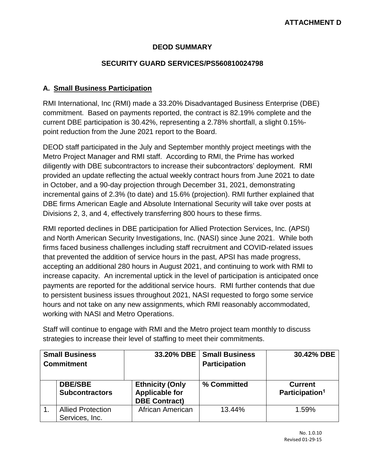# **DEOD SUMMARY**

## **SECURITY GUARD SERVICES/PS560810024798**

# **A. Small Business Participation**

RMI International, Inc (RMI) made a 33.20% Disadvantaged Business Enterprise (DBE) commitment. Based on payments reported, the contract is 82.19% complete and the current DBE participation is 30.42%, representing a 2.78% shortfall, a slight 0.15% point reduction from the June 2021 report to the Board.

DEOD staff participated in the July and September monthly project meetings with the Metro Project Manager and RMI staff. According to RMI, the Prime has worked diligently with DBE subcontractors to increase their subcontractors' deployment. RMI provided an update reflecting the actual weekly contract hours from June 2021 to date in October, and a 90-day projection through December 31, 2021, demonstrating incremental gains of 2.3% (to date) and 15.6% (projection). RMI further explained that DBE firms American Eagle and Absolute International Security will take over posts at Divisions 2, 3, and 4, effectively transferring 800 hours to these firms.

RMI reported declines in DBE participation for Allied Protection Services, Inc. (APSI) and North American Security Investigations, Inc. (NASI) since June 2021. While both firms faced business challenges including staff recruitment and COVID-related issues that prevented the addition of service hours in the past, APSI has made progress, accepting an additional 280 hours in August 2021, and continuing to work with RMI to increase capacity. An incremental uptick in the level of participation is anticipated once payments are reported for the additional service hours. RMI further contends that due to persistent business issues throughout 2021, NASI requested to forgo some service hours and not take on any new assignments, which RMI reasonably accommodated, working with NASI and Metro Operations.

Staff will continue to engage with RMI and the Metro project team monthly to discuss strategies to increase their level of staffing to meet their commitments.

| <b>Small Business</b><br><b>Commitment</b> |                                            |                                                                         | 33.20% DBE   Small Business<br><b>Participation</b> | 30.42% DBE                                   |
|--------------------------------------------|--------------------------------------------|-------------------------------------------------------------------------|-----------------------------------------------------|----------------------------------------------|
|                                            | <b>DBE/SBE</b><br><b>Subcontractors</b>    | <b>Ethnicity (Only</b><br><b>Applicable for</b><br><b>DBE Contract)</b> | % Committed                                         | <b>Current</b><br>Participation <sup>1</sup> |
|                                            | <b>Allied Protection</b><br>Services, Inc. | African American                                                        | 13.44%                                              | 1.59%                                        |